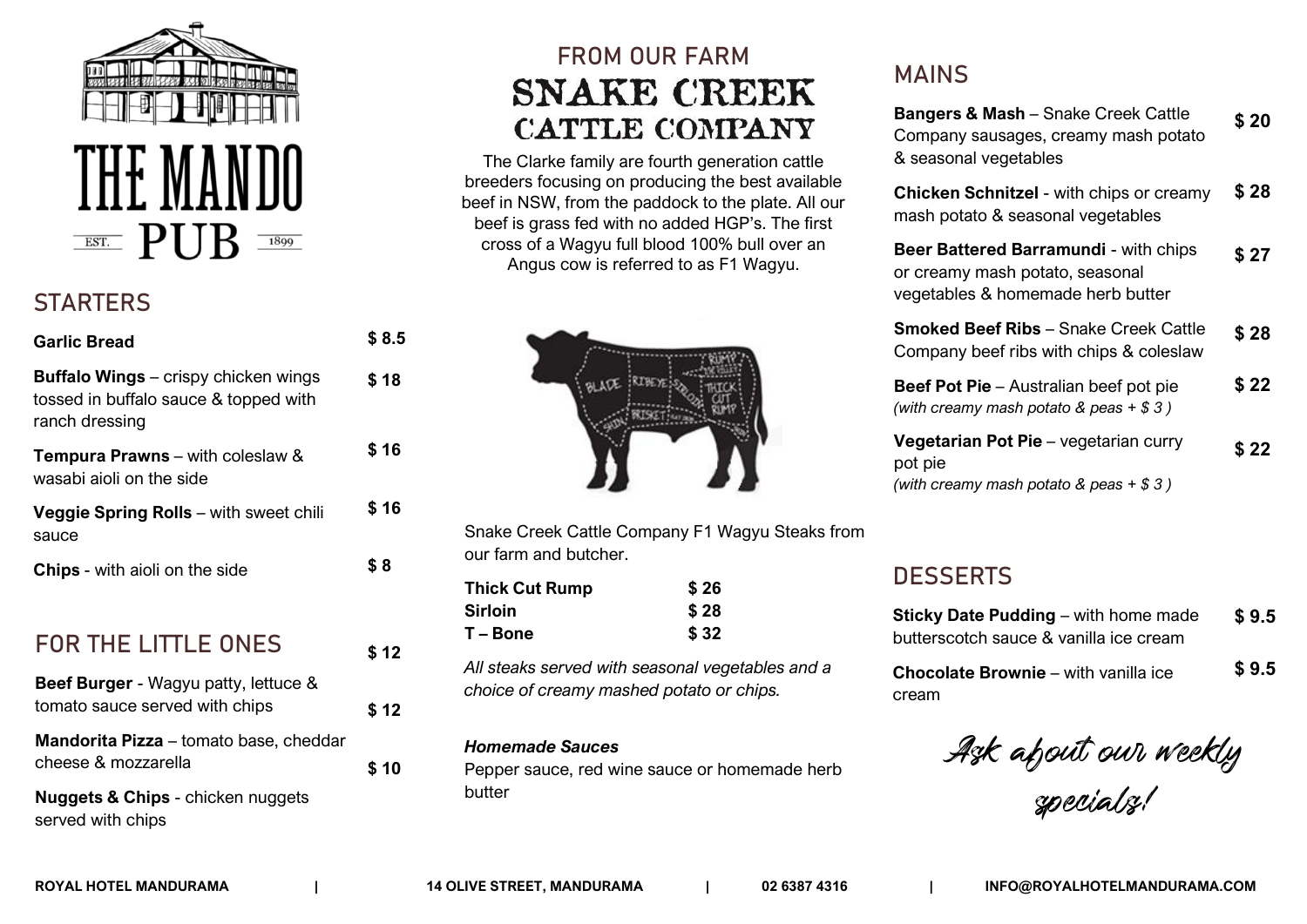

## **STARTERS**

| <b>Garlic Bread</b>                                                                                    | \$ 8.5 |
|--------------------------------------------------------------------------------------------------------|--------|
| <b>Buffalo Wings</b> - crispy chicken wings<br>tossed in buffalo sauce & topped with<br>ranch dressing | \$18   |
| <b>Tempura Prawns</b> – with coleslaw &<br>wasabi aioli on the side                                    | \$16   |
| Veggie Spring Rolls - with sweet chili<br>sauce                                                        | \$16   |
| Chips - with aioli on the side                                                                         | \$8    |
| <b>FOR THE LITTLE ONES</b>                                                                             | \$12   |
| Beef Burger - Wagyu patty, lettuce &<br>tomato sauce served with chips                                 | \$12   |
| <b>Mandorita Pizza</b> – tomato base, cheddar<br>cheese & mozzarella                                   | \$10   |
| <b>Nuggets &amp; Chips - chicken nuggets</b><br>served with chips                                      |        |

# **FROM OUR FARM SNAKE CREEK CATTLE COMPANY**

The Clarke family are fourth generation cattle breeders focusing on producing the best available beef in NSW, from the paddock to the plate. All our beef is grass fed with no added HGP's. The first cross of a Wagyu full blood 100% bull over an Angus cow is referred to as F1 Wagyu.



Snake Creek Cattle Company F1 Wagyu Steaks from our farm and butcher.

| <b>Thick Cut Rump</b> | \$26 |
|-----------------------|------|
| <b>Sirloin</b>        | \$28 |
| T – Bone              | \$32 |

*All steaks served with seasonal vegetables and a choice of creamy mashed potato or chips.*

#### *Homemade Sauces*

Pepper sauce, red wine sauce or homemade herb butter

### **MAINS**

| <b>Bangers &amp; Mash</b> - Snake Creek Cattle<br>Company sausages, creamy mash potato<br>& seasonal vegetables      | \$ 20  |
|----------------------------------------------------------------------------------------------------------------------|--------|
| <b>Chicken Schnitzel</b> - with chips or creamy<br>mash potato & seasonal vegetables                                 | \$ 28  |
| <b>Beer Battered Barramundi</b> - with chips<br>or creamy mash potato, seasonal<br>vegetables & homemade herb butter | \$ 27  |
| <b>Smoked Beef Ribs</b> – Snake Creek Cattle<br>Company beef ribs with chips & coleslaw                              | \$ 28  |
| <b>Beef Pot Pie</b> – Australian beef pot pie<br>(with creamy mash potato & peas $+$ \$ 3)                           | \$ 22  |
| Vegetarian Pot Pie - vegetarian curry<br>pot pie<br>(with creamy mash potato & peas $+$ \$ 3)                        | \$ 22. |

#### **DESSERTS**

| <b>Sticky Date Pudding – with home made</b> | \$9.5 |
|---------------------------------------------|-------|
| butterscotch sauce & vanilla ice cream      |       |
| <b>Chocolate Brownie</b> – with vanilla ice | \$9.5 |
| cream                                       |       |

Ask about our weekly specials!